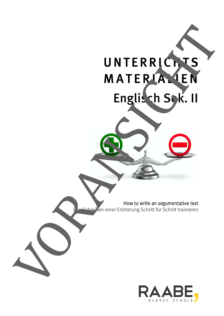

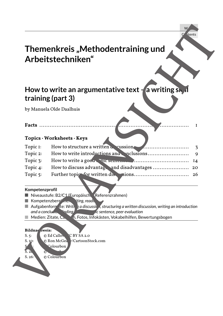## **Themenkreis "Methodentraining und Arbeitstechniken"**

## How to write an argumentative text - a writing sk if **training (part 3)**

#### **Facts** ....................................................................................... 1

#### **Topics · Worksheets · Keys**

| I<br>3<br>9<br>26                                    |                                      | How to write an argumentative text - a writing sk, d                                                           |
|------------------------------------------------------|--------------------------------------|----------------------------------------------------------------------------------------------------------------|
|                                                      |                                      |                                                                                                                |
|                                                      |                                      | training (part 3)                                                                                              |
|                                                      |                                      | by Manuela Olde Daalhuis                                                                                       |
|                                                      |                                      |                                                                                                                |
|                                                      |                                      | <b>Facts</b>                                                                                                   |
|                                                      |                                      |                                                                                                                |
|                                                      |                                      | Topics · Worksheets · Keys                                                                                     |
|                                                      | How to structure a written a cussion | Topic I:                                                                                                       |
|                                                      | How to write a good . The sending    | Topic 2:<br>Topic 3:                                                                                           |
|                                                      |                                      | Topic 4:                                                                                                       |
|                                                      |                                      | Topic 5:                                                                                                       |
|                                                      |                                      |                                                                                                                |
|                                                      |                                      | Kompetenzprofil                                                                                                |
|                                                      |                                      | Niveaustufe: B2/C1 (Europäisch Referenzrahmen)                                                                 |
| iting, readh                                         |                                      | Kompetenzbere num                                                                                              |
| <b>Finding</b><br>ic sentence, peer evaluation       | and a conclu                         | Aufgabenform ate: Write $\frac{1}{3}$ a discussic is structuring a written discussion, writing an introduction |
| n, Fotos, Infokästen, Vokabelhilfen, Bewertungsbogen |                                      | Medien: Zitate, Ca.                                                                                            |
|                                                      |                                      | Bildnac Iweis:                                                                                                 |
|                                                      |                                      |                                                                                                                |
|                                                      |                                      |                                                                                                                |
|                                                      |                                      |                                                                                                                |
|                                                      |                                      |                                                                                                                |
|                                                      |                                      |                                                                                                                |
|                                                      |                                      |                                                                                                                |
|                                                      |                                      |                                                                                                                |
|                                                      |                                      |                                                                                                                |
|                                                      |                                      |                                                                                                                |
|                                                      |                                      |                                                                                                                |
|                                                      |                                      |                                                                                                                |
|                                                      |                                      |                                                                                                                |
|                                                      |                                      |                                                                                                                |
|                                                      |                                      |                                                                                                                |
|                                                      |                                      |                                                                                                                |
|                                                      |                                      |                                                                                                                |
|                                                      |                                      |                                                                                                                |
|                                                      |                                      |                                                                                                                |
|                                                      |                                      |                                                                                                                |
|                                                      |                                      |                                                                                                                |
|                                                      |                                      |                                                                                                                |
|                                                      |                                      |                                                                                                                |
|                                                      |                                      |                                                                                                                |
|                                                      |                                      |                                                                                                                |
|                                                      |                                      |                                                                                                                |
|                                                      |                                      |                                                                                                                |
|                                                      |                                      |                                                                                                                |
|                                                      |                                      |                                                                                                                |
|                                                      |                                      |                                                                                                                |
|                                                      |                                      |                                                                                                                |
|                                                      |                                      |                                                                                                                |
|                                                      |                                      |                                                                                                                |
|                                                      |                                      |                                                                                                                |
|                                                      |                                      |                                                                                                                |
|                                                      |                                      |                                                                                                                |
|                                                      |                                      |                                                                                                                |
|                                                      |                                      |                                                                                                                |
|                                                      |                                      |                                                                                                                |
|                                                      |                                      |                                                                                                                |
|                                                      |                                      |                                                                                                                |
|                                                      |                                      |                                                                                                                |
|                                                      |                                      |                                                                                                                |
|                                                      |                                      |                                                                                                                |
|                                                      |                                      |                                                                                                                |
|                                                      |                                      |                                                                                                                |
|                                                      |                                      |                                                                                                                |
|                                                      |                                      |                                                                                                                |
|                                                      |                                      |                                                                                                                |
|                                                      |                                      |                                                                                                                |
|                                                      |                                      |                                                                                                                |
|                                                      |                                      |                                                                                                                |
|                                                      |                                      |                                                                                                                |
|                                                      |                                      |                                                                                                                |
|                                                      |                                      |                                                                                                                |
|                                                      |                                      |                                                                                                                |
|                                                      |                                      |                                                                                                                |
|                                                      |                                      |                                                                                                                |
|                                                      |                                      |                                                                                                                |
|                                                      |                                      |                                                                                                                |
|                                                      |                                      |                                                                                                                |
|                                                      |                                      |                                                                                                                |
|                                                      |                                      |                                                                                                                |

#### **Kompetenzprofil**

- Niveaustufe: B2/C1 (Europäischer Referenzrahmen)
- Kompetenzbereiche: iting, reading
- Aufgabenformate: *Writing a discussion, structuring a written discussion, writing an introduction* and a conclusive *finding* the right sentence, peer evaluation
- 

#### **Bildnac** *weis:*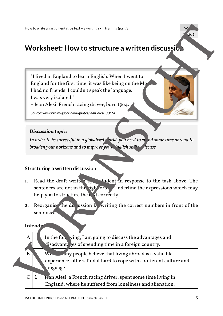## **Worksheet: How to structure a written discussion**

#### *Discussion topic:*

#### **Structuring a written discussion**

- 1. Read the draft written  $\mathbf{b}$ , student in response to the task above. The sentences are not in the right order. Underline the expressions which may help you to structure the  $\frac{1}{x}$  t correctly.
- 2. Reorganise the discussion by writing the correct numbers in front of the sentences.

#### **Introdu**

|                |         | W<br>How to write an argumentative text - a writing skill training (part 3)                                                                                                                                                                                                                            |
|----------------|---------|--------------------------------------------------------------------------------------------------------------------------------------------------------------------------------------------------------------------------------------------------------------------------------------------------------|
|                |         | bic 1<br>Worksheet: How to structure a written discussio.                                                                                                                                                                                                                                              |
|                |         |                                                                                                                                                                                                                                                                                                        |
|                |         | "I lived in England to learn English. When I went to<br>England for the first time, it was like being on the Mo<br>I had no friends, I couldn't speak the language.<br>I was very isolated."<br>- Jean Alesi, French racing driver, born 1964.<br>Source: www.brainyquote.com/quotes/jean_alesi_331985 |
|                |         | Discussion topic:<br>In order to be successful in a globalised orld, you need to sp nd some time abroad to<br>broaden your horizons and to improve your Singlish skills I iscuss.                                                                                                                      |
|                |         | Structuring a written discussion                                                                                                                                                                                                                                                                       |
| I.             |         | Read the draft writte by tudent in response to the task above. The<br>sentences are not in the right oral Underline the expressions which may<br>help you to structure the text correctly.                                                                                                             |
| 2.             |         | Reorganise the divussion b writing the correct numbers in front of the<br>sentence <sub>s</sub> .                                                                                                                                                                                                      |
|                | Introdu |                                                                                                                                                                                                                                                                                                        |
| A              |         | In the foll ving, I am going to discuss the advantages and<br>disadvant: ges of spending time in a foreign country.                                                                                                                                                                                    |
| B              |         | $W_{\text{Im}\omega}$<br>any people believe that living abroad is a valuable<br>experience, others find it hard to cope with a different culture and<br>language.                                                                                                                                      |
| $\overline{C}$ | 1       | Jean Alesi, a French racing driver, spent some time living in<br>England, where he suffered from loneliness and alienation.                                                                                                                                                                            |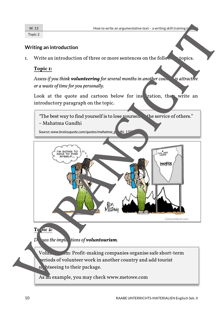Topic 2

#### **Writing an introduction**

1. Write an introduction of three or more sentences on the following topics.

#### **Topic 1:**

*Assess if you think volunteering for several months in another country is attractive or a waste of time for you personally.* 

Look at the quote and cartoon below for instantion, the write an introductory paragraph on the topic.



*Discuss the implications of voluntourism.*

Voluntourism: Profit-making companies organise safe short-term periods of volunteer work in another country and add tourist si, htseeing to their package.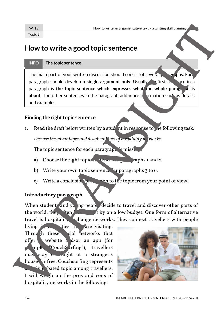### **How to write a good topic sentence**

#### **INFO The topic sentence**

The main part of your written discussion should consist of several paragraphs. Each paragraph should develop **a single argument only.** Usually the first service in a paragraph is the topic sentence which expresses what the whole parag. In is about. The other sentences in the paragraph add more in ormation such as details and examples.

#### **Finding the right topic sentence**

*1.* Read the draft below written by a student in response to the following task:

*Discuss the advantages and disadvant ges of nospitality networks.* 

*The topic sentence for each paragraph is missing.*

- a) Choose the right topic serve rence for paragraphs 1 and 2.
- *b) Write your own topic sentence for paragraphs 3 to 6.*
- *c*) Write a conclusion paragraph to the topic from your point of view.

#### **Introductory paragraph**

When students and young peop. decide to travel and discover other parts of *the world, they ften is set by on a low budget. One form of alternative* travel is hospitality vchange networks. They connect travellers with people

*living in the cities the are visiting. Through these* cial networks that offer website a d/or an app (for *example "CouchSurfing"), travellers may stay overnight at a stranger's house for free. Couchsurfing represents a*  $\frac{dV}{dx}$  bated topic among travellers. *I will weigh up the pros and cons of*  **How the following the following the following the following the following the state of vorwality of the following the state of vorwality of the following the state of the following the state of the following the state of** 

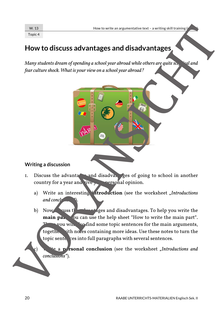Topic 4

## **How to discuss advantages and disadvantages**

*Many students dream of spending a school year abroad while others are quite sceptional and fear culture shock. What is your view on a school year abroad?* 



- 1. Discuss the advantages and disadvantages of going to school in another country for a year and give your personal opinion.
	- a) Write an interesting **introduction** (see the worksheet "Introductions  $and$ *conclusions*
- b) Now cuss  $t$  and  $t$  are added and disadvantages. To help you write the **main partious** ou can use the help sheet "How to write the main part".  $\frac{1}{2}$  wou will also find some topic sentences for the main arguments, together with no es containing more ideas. Use these notes to turn the topic sente ces into full paragraphs with several sentences. **Example 18 and 18 and 18 and 18 and 18 and 18 and 18 and 18 and 18 and 18 and 18 and 18 and 18 and 18 and 18 and 18 and 18 and 18 and 18 and 18 and 18 and 18 and 18 and 18 and 18 and 18 and 18 and 18 and 18 and 18 and 18**

**External conclusion** (see the worksheet *"Introductions and*